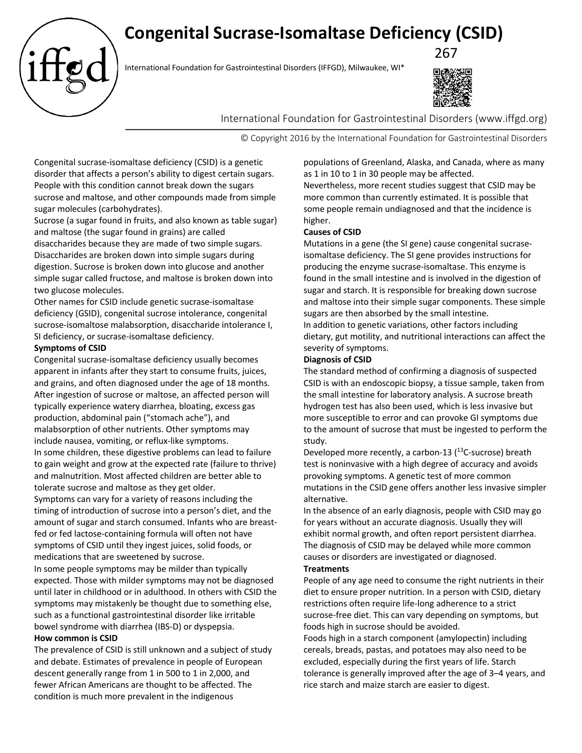# **Congenital Sucrase-Isomaltase Deficiency (CSID)**

267  $267$ <br>International Foundation for Gastrointestinal Disorders (IFFGD), Milwaukee, WI\*



International Foundation for Gastrointestinal Disorders (www.iffgd.org)

© Copyright 2016 by the International Foundation for Gastrointestinal Disorders

Congenital sucrase-isomaltase deficiency (CSID) is a genetic disorder that affects a person's ability to digest certain sugars. People with this condition cannot break down the sugars sucrose and maltose, and other compounds made from simple sugar molecules (carbohydrates).

Sucrose (a sugar found in fruits, and also known as table sugar) and maltose (the sugar found in grains) are called disaccharides because they are made of two simple sugars. Disaccharides are broken down into simple sugars during digestion. Sucrose is broken down into glucose and another simple sugar called fructose, and maltose is broken down into two glucose molecules.

Other names for CSID include genetic sucrase-isomaltase deficiency (GSID), congenital sucrose intolerance, congenital sucrose-isomaltose malabsorption, disaccharide intolerance I, SI deficiency, or sucrase-isomaltase deficiency.

# **Symptoms of CSID**

Congenital sucrase-isomaltase deficiency usually becomes apparent in infants after they start to consume fruits, juices, and grains, and often diagnosed under the age of 18 months. After ingestion of sucrose or maltose, an affected person will typically experience watery diarrhea, bloating, excess gas production, abdominal pain ("stomach ache"), and malabsorption of other nutrients. Other symptoms may include nausea, vomiting, or reflux-like symptoms. In some children, these digestive problems can lead to failure to gain weight and grow at the expected rate (failure to thrive) and malnutrition. Most affected children are better able to tolerate sucrose and maltose as they get older.

Symptoms can vary for a variety of reasons including the timing of introduction of sucrose into a person's diet, and the amount of sugar and starch consumed. Infants who are breastfed or fed lactose-containing formula will often not have symptoms of CSID until they ingest juices, solid foods, or medications that are sweetened by sucrose.

In some people symptoms may be milder than typically expected. Those with milder symptoms may not be diagnosed until later in childhood or in adulthood. In others with CSID the symptoms may mistakenly be thought due to something else, such as a functional gastrointestinal disorder like irritable bowel syndrome with diarrhea (IBS-D) or dyspepsia.

#### **How common is CSID**

The prevalence of CSID is still unknown and a subject of study and debate. Estimates of prevalence in people of European descent generally range from 1 in 500 to 1 in 2,000, and fewer African Americans are thought to be affected. The condition is much more prevalent in the indigenous

populations of Greenland, Alaska, and Canada, where as many as 1 in 10 to 1 in 30 people may be affected.

Nevertheless, more recent studies suggest that CSID may be more common than currently estimated. It is possible that some people remain undiagnosed and that the incidence is higher.

# **Causes of CSID**

Mutations in a gene (the SI gene) cause congenital sucraseisomaltase deficiency. The SI gene provides instructions for producing the enzyme sucrase-isomaltase. This enzyme is found in the small intestine and is involved in the digestion of sugar and starch. It is responsible for breaking down sucrose and maltose into their simple sugar components. These simple sugars are then absorbed by the small intestine. In addition to genetic variations, other factors including

dietary, gut motility, and nutritional interactions can affect the severity of symptoms.

# **Diagnosis of CSID**

The standard method of confirming a diagnosis of suspected CSID is with an endoscopic biopsy, a tissue sample, taken from the small intestine for laboratory analysis. A sucrose breath hydrogen test has also been used, which is less invasive but more susceptible to error and can provoke GI symptoms due to the amount of sucrose that must be ingested to perform the study.

Developed more recently, a carbon-13  $(^{13}$ C-sucrose) breath test is noninvasive with a high degree of accuracy and avoids provoking symptoms. A genetic test of more common mutations in the CSID gene offers another less invasive simpler alternative.

In the absence of an early diagnosis, people with CSID may go for years without an accurate diagnosis. Usually they will exhibit normal growth, and often report persistent diarrhea. The diagnosis of CSID may be delayed while more common causes or disorders are investigated or diagnosed.

#### **Treatments**

People of any age need to consume the right nutrients in their diet to ensure proper nutrition. In a person with CSID, dietary restrictions often require life-long adherence to a strict sucrose-free diet. This can vary depending on symptoms, but foods high in sucrose should be avoided.

Foods high in a starch component (amylopectin) including cereals, breads, pastas, and potatoes may also need to be excluded, especially during the first years of life. Starch tolerance is generally improved after the age of 3–4 years, and rice starch and maize starch are easier to digest.